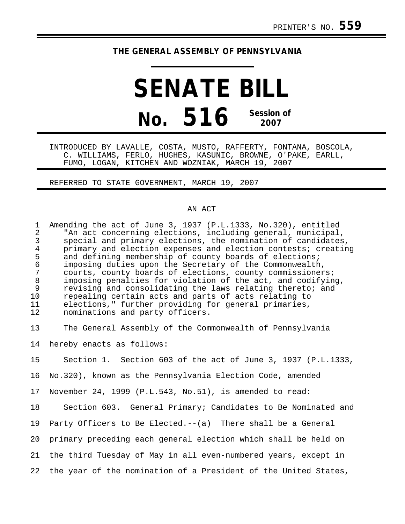## **THE GENERAL ASSEMBLY OF PENNSYLVANIA**

## **SENATE BILL No. 516 Session of 2007**

INTRODUCED BY LAVALLE, COSTA, MUSTO, RAFFERTY, FONTANA, BOSCOLA, C. WILLIAMS, FERLO, HUGHES, KASUNIC, BROWNE, O'PAKE, EARLL, FUMO, LOGAN, KITCHEN AND WOZNIAK, MARCH 19, 2007

REFERRED TO STATE GOVERNMENT, MARCH 19, 2007

## AN ACT

| $\mathbf{1}$<br>$\overline{2}$<br>$\mathfrak{Z}$<br>$\overline{4}$<br>5<br>$\sqrt{6}$<br>7<br>$\,8\,$<br>$\mathsf 9$<br>10<br>11<br>12 | Amending the act of June 3, 1937 (P.L.1333, No.320), entitled<br>"An act concerning elections, including general, municipal,<br>special and primary elections, the nomination of candidates,<br>primary and election expenses and election contests; creating<br>and defining membership of county boards of elections;<br>imposing duties upon the Secretary of the Commonwealth,<br>courts, county boards of elections, county commissioners;<br>imposing penalties for violation of the act, and codifying,<br>revising and consolidating the laws relating thereto; and<br>repealing certain acts and parts of acts relating to<br>elections," further providing for general primaries,<br>nominations and party officers. |
|----------------------------------------------------------------------------------------------------------------------------------------|--------------------------------------------------------------------------------------------------------------------------------------------------------------------------------------------------------------------------------------------------------------------------------------------------------------------------------------------------------------------------------------------------------------------------------------------------------------------------------------------------------------------------------------------------------------------------------------------------------------------------------------------------------------------------------------------------------------------------------|
| 13                                                                                                                                     | The General Assembly of the Commonwealth of Pennsylvania                                                                                                                                                                                                                                                                                                                                                                                                                                                                                                                                                                                                                                                                       |
| 14                                                                                                                                     | hereby enacts as follows:                                                                                                                                                                                                                                                                                                                                                                                                                                                                                                                                                                                                                                                                                                      |
| 15                                                                                                                                     | Section 1. Section 603 of the act of June 3, 1937 (P.L.1333,                                                                                                                                                                                                                                                                                                                                                                                                                                                                                                                                                                                                                                                                   |
| 16                                                                                                                                     | No.320), known as the Pennsylvania Election Code, amended                                                                                                                                                                                                                                                                                                                                                                                                                                                                                                                                                                                                                                                                      |
| 17                                                                                                                                     | November 24, 1999 (P.L.543, No.51), is amended to read:                                                                                                                                                                                                                                                                                                                                                                                                                                                                                                                                                                                                                                                                        |
| 18                                                                                                                                     | Section 603. General Primary; Candidates to Be Nominated and                                                                                                                                                                                                                                                                                                                                                                                                                                                                                                                                                                                                                                                                   |
| 19                                                                                                                                     | Party Officers to Be Elected.--(a) There shall be a General                                                                                                                                                                                                                                                                                                                                                                                                                                                                                                                                                                                                                                                                    |
| 20                                                                                                                                     | primary preceding each general election which shall be held on                                                                                                                                                                                                                                                                                                                                                                                                                                                                                                                                                                                                                                                                 |
| 21                                                                                                                                     | the third Tuesday of May in all even-numbered years, except in                                                                                                                                                                                                                                                                                                                                                                                                                                                                                                                                                                                                                                                                 |
| 22                                                                                                                                     | the year of the nomination of a President of the United States,                                                                                                                                                                                                                                                                                                                                                                                                                                                                                                                                                                                                                                                                |